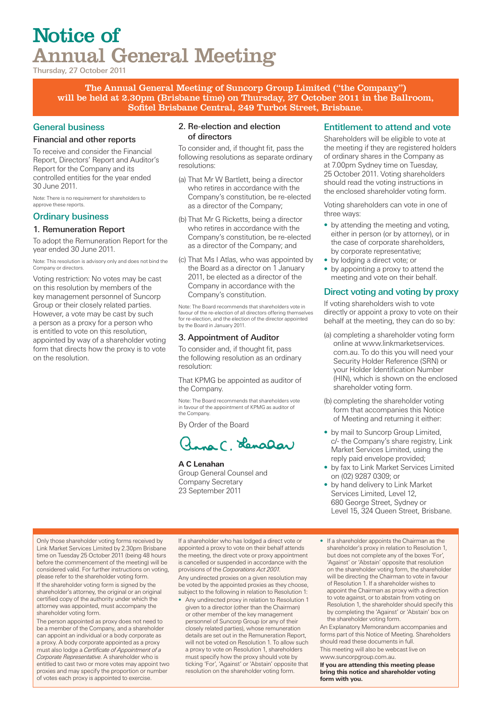# Notice of Annual General Meeting

Thursday, 27 October 2011

The Annual General Meeting of Suncorp Group Limited ("the Company") will be held at 2.30pm (Brisbane time) on Thursday, 27 October 2011 in the Ballroom, Sofitel Brisbane Central, 249 Turbot Street, Brisbane.

### General business

#### Financial and other reports

To receive and consider the Financial Report, Directors' Report and Auditor's Report for the Company and its controlled entities for the year ended 30 June 2011.

Note: There is no requirement for shareholders to approve these reports.

### Ordinary business

### 1. Remuneration Report

To adopt the Remuneration Report for the year ended 30 June 2011.

Note: This resolution is advisory only and does not bind the Company or directors.

Voting restriction: No votes may be cast on this resolution by members of the key management personnel of Suncorp Group or their closely related parties. However, a vote may be cast by such a person as a proxy for a person who is entitled to vote on this resolution, appointed by way of a shareholder voting form that directs how the proxy is to vote on the resolution.

#### 2. Re-election and election of directors

To consider and, if thought fit, pass the following resolutions as separate ordinary resolutions:

- (a) That Mr W Bartlett, being a director who retires in accordance with the Company's constitution, be re-elected as a director of the Company;
- (b) That Mr G Ricketts, being a director who retires in accordance with the Company's constitution, be re-elected as a director of the Company; and
- (c) That Ms I Atlas, who was appointed by the Board as a director on 1 January 2011, be elected as a director of the Company in accordance with the Company's constitution.

Note: The Board recommends that shareholders vote in favour of the re-election of all directors offering themselves for re-election, and the election of the director appointed by the Board in January 2011.

### 3. Appointment of Auditor

To consider and, if thought fit, pass the following resolution as an ordinary resolution:

That KPMG be appointed as auditor of the Company.

Note: The Board recommends that shareholders vote in favour of the appointment of KPMG as auditor of the Company.

By Order of the Board

Inna C. Lenalar

**A C Lenahan** Group General Counsel and Company Secretary 23 September 2011

### Entitlement to attend and vote

Shareholders will be eligible to vote at the meeting if they are registered holders of ordinary shares in the Company as at 7.00pm Sydney time on Tuesday, 25 October 2011. Voting shareholders should read the voting instructions in the enclosed shareholder voting form.

Voting shareholders can vote in one of three ways:

- by attending the meeting and voting. either in person (or by attorney), or in the case of corporate shareholders, by corporate representative;
- by lodging a direct vote; or
- by appointing a proxy to attend the meeting and vote on their behalf.

### Direct voting and voting by proxy

If voting shareholders wish to vote directly or appoint a proxy to vote on their behalf at the meeting, they can do so by:

- (a) completing a shareholder voting form online at www.linkmarketservices. com.au. To do this you will need your Security Holder Reference (SRN) or your Holder Identification Number (HIN), which is shown on the enclosed shareholder voting form.
- (b) completing the shareholder voting form that accompanies this Notice of Meeting and returning it either:
- by mail to Suncorp Group Limited, c/- the Company's share registry, Link Market Services Limited, using the reply paid envelope provided;
- by fax to Link Market Services Limited on (02) 9287 0309; or
- by hand delivery to Link Market Services Limited, Level 12, 680 George Street, Sydney or Level 15, 324 Queen Street, Brisbane.

Only those shareholder voting forms received by Link Market Services Limited by 2.30pm Brisbane time on Tuesday 25 October 2011 (being 48 hours before the commencement of the meeting) will be considered valid. For further instructions on voting, please refer to the shareholder voting form. If the shareholder voting form is signed by the shareholder's attorney, the original or an original certified copy of the authority under which the attorney was appointed, must accompany the shareholder voting form.

The person appointed as proxy does not need to be a member of the Company, and a shareholder can appoint an individual or a body corporate as a proxy. A body corporate appointed as a proxy must also lodge a *Certificate of Appointment of a Corporate Representative*. A shareholder who is entitled to cast two or more votes may appoint two proxies and may specify the proportion or number of votes each proxy is appointed to exercise.

If a shareholder who has lodged a direct vote or appointed a proxy to vote on their behalf attends the meeting, the direct vote or proxy appointment is cancelled or suspended in accordance with the provisions of the *Corporations Act 2001*.

Any undirected proxies on a given resolution may be voted by the appointed proxies as they choose, subject to the following in relation to Resolution 1:

- Any undirected proxy in relation to Resolution 1 given to a director (other than the Chairman) or other member of the key management personnel of Suncorp Group (or any of their closely related parties), whose remuneration details are set out in the Remuneration Report, will not be voted on Resolution 1. To allow such a proxy to vote on Resolution 1, shareholders must specify how the proxy should vote by ticking 'For', 'Against' or 'Abstain' opposite that resolution on the shareholder voting form.
- If a shareholder appoints the Chairman as the shareholder's proxy in relation to Resolution 1, but does not complete any of the boxes 'For', 'Against' or 'Abstain' opposite that resolution on the shareholder voting form, the shareholder will be directing the Chairman to vote in favour of Resolution 1. If a shareholder wishes to appoint the Chairman as proxy with a direction to vote against, or to abstain from voting on Resolution 1, the shareholder should specify this by completing the 'Against' or 'Abstain' box on the shareholder voting form.

An Explanatory Memorandum accompanies and forms part of this Notice of Meeting. Shareholders should read these documents in full. This meeting will also be webcast live on www.suncorpgroup.com.au.

**If you are attending this meeting please bring this notice and shareholder voting form with you.**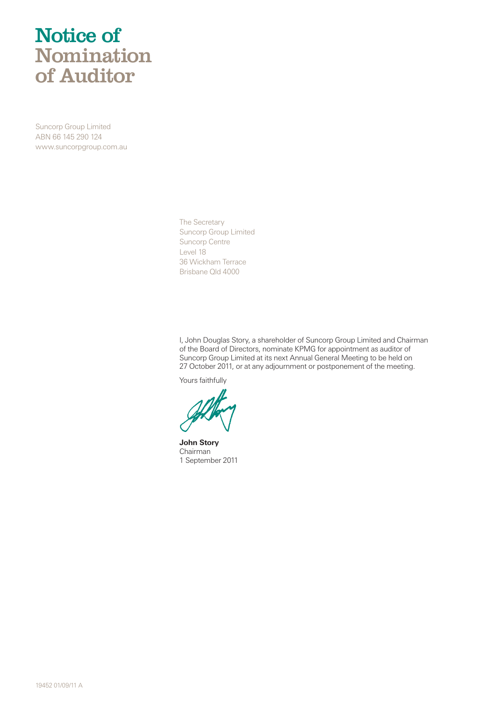# Notice of Nomination of Auditor

Suncorp Group Limited ABN 66 145 290 124 www.suncorpgroup.com.au

> The Secretary Suncorp Group Limited Suncorp Centre Level 18 36 Wickham Terrace Brisbane Qld 4000

I, John Douglas Story, a shareholder of Suncorp Group Limited and Chairman of the Board of Directors, nominate KPMG for appointment as auditor of Suncorp Group Limited at its next Annual General Meeting to be held on 27 October 2011, or at any adjournment or postponement of the meeting.

Yours faithfully

**John Story** Chairman 1 September 2011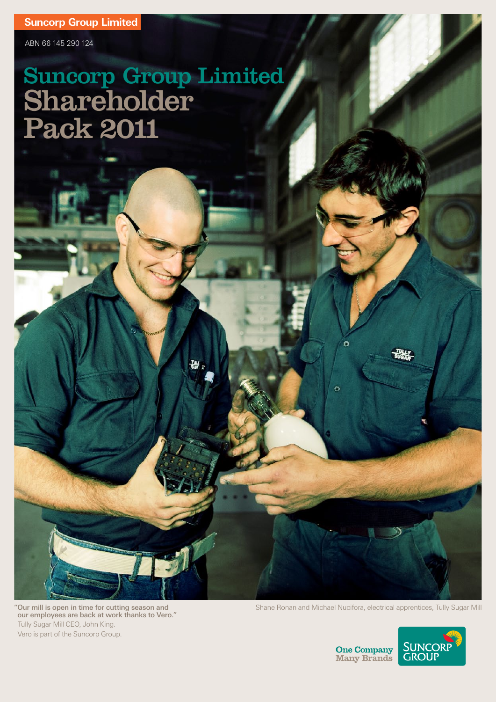ABN 66 145 290 124

# Suncorp Group Limited Shareholder Pack 2011

"Our mill is open in time for cutting season and our employees are back at work thanks to Vero." Tully Sugar Mill CEO, John King. Vero is part of the Suncorp Group.

Shane Ronan and Michael Nucifora, electrical apprentices, Tully Sugar Mill



**One Company**<br>Many Brands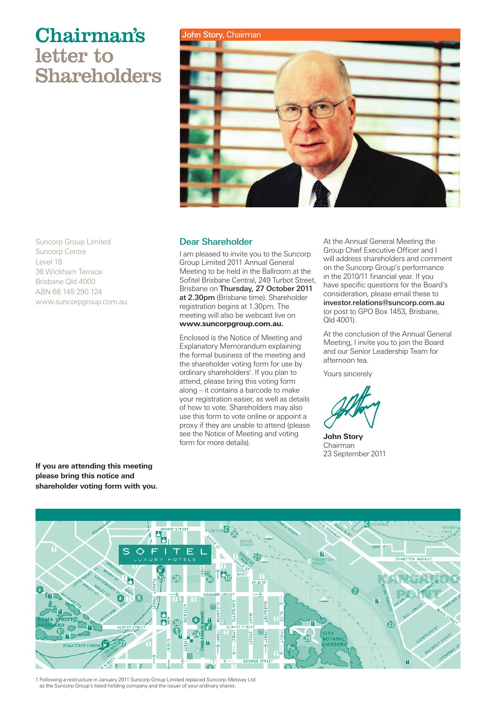# Chairman's John Story, Chairman letter to Shareholders



### Dear Shareholder

I am pleased to invite you to the Suncorp Group Limited 2011 Annual General Meeting to be held in the Ballroom at the Sofitel Brisbane Central, 249 Turbot Street, Brisbane on Thursday, 27 October 2011 at 2.30pm (Brisbane time). Shareholder registration begins at 1.30pm. The meeting will also be webcast live on **www.suncorpgroup.com.au.**

Enclosed is the Notice of Meeting and Explanatory Memorandum explaining the formal business of the meeting and the shareholder voting form for use by ordinary shareholders<sup>1</sup>. If you plan to attend, please bring this voting form along – it contains a barcode to make your registration easier, as well as details of how to vote. Shareholders may also use this form to vote online or appoint a proxy if they are unable to attend (please see the Notice of Meeting and voting form for more details).

At the Annual General Meeting the Group Chief Executive Officer and I will address shareholders and comment on the Suncorp Group's performance in the 2010/11 financial year. If you have specific questions for the Board's consideration, please email these to investor.relations@suncorp.com.au (or post to GPO Box 1453, Brisbane, Qld 4001).

At the conclusion of the Annual General Meeting, I invite you to join the Board and our Senior Leadership Team for afternoon tea.

Yours sincerely

**John Story** Chairman 23 September 2011

Suncorp Group Limited Suncorp Centre Level 18 36 Wickham Terrace Brisbane Qld 4000 ABN 66 145 290 124 www.suncorpgroup.com.au

**If you are attending this meeting please bring this notice and shareholder voting form with you.**



1 Following a restructure in January 2011 Suncorp Group Limited replaced Suncorp-Metway Ltd as the Suncorp Group's listed holding company and the issuer of your ordinary shares.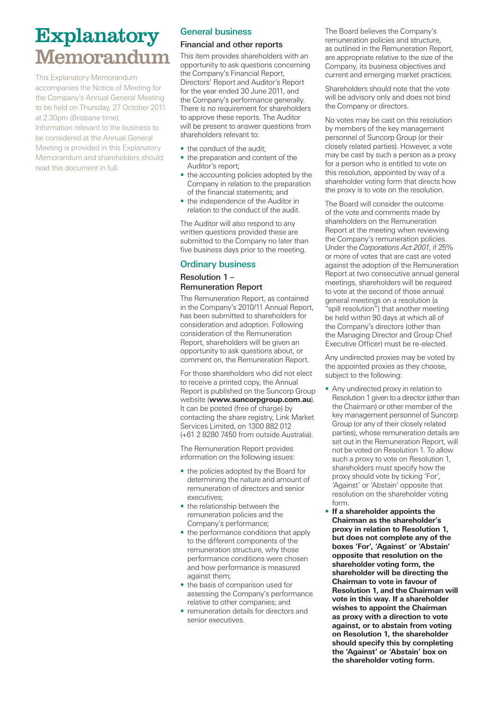# Explanatory **Memorandum**

This Explanatory Memorandum accompanies the Notice of Meeting for the Company's Annual General Meeting to be held on Thursday, 27 October 2011 at 2.30pm (Brisbane time). Information relevant to the business to be considered at the Annual General Meeting is provided in this Explanatory Memorandum and shareholders should read this document in full.

# General business

## Financial and other reports

This item provides shareholders with an opportunity to ask questions concerning the Company's Financial Report, Directors' Report and Auditor's Report for the year ended 30 June 2011, and the Company's performance generally. There is no requirement for shareholders to approve these reports. The Auditor will be present to answer questions from shareholders relevant to:

- the conduct of the audit;
- the preparation and content of the Auditor's report;
- the accounting policies adopted by the Company in relation to the preparation of the financial statements; and
- the independence of the Auditor in relation to the conduct of the audit.

The Auditor will also respond to any written questions provided these are submitted to the Company no later than five business days prior to the meeting.

### Ordinary business

### Resolution 1 – Remuneration Report

The Remuneration Report, as contained in the Company's 2010/11 Annual Report, has been submitted to shareholders for consideration and adoption. Following consideration of the Remuneration Report, shareholders will be given an opportunity to ask questions about, or comment on, the Remuneration Report.

For those shareholders who did not elect to receive a printed copy, the Annual Report is published on the Suncorp Group website (**www.suncorpgroup.com.au**). It can be posted (free of charge) by contacting the share registry, Link Market Services Limited, on 1300 882 012 (+61 2 8280 7450 from outside Australia).

The Remuneration Report provides information on the following issues:

- the policies adopted by the Board for determining the nature and amount of remuneration of directors and senior executives;
- the relationship between the remuneration policies and the Company's performance;
- the performance conditions that apply to the different components of the remuneration structure, why those performance conditions were chosen and how performance is measured against them;
- the basis of comparison used for assessing the Company's performance relative to other companies; and
- remuneration details for directors and senior executives.

The Board believes the Company's remuneration policies and structure, as outlined in the Remuneration Report, are appropriate relative to the size of the Company, its business objectives and current and emerging market practices.

Shareholders should note that the vote will be advisory only and does not bind the Company or directors.

No votes may be cast on this resolution by members of the key management personnel of Suncorp Group (or their closely related parties). However, a vote may be cast by such a person as a proxy for a person who is entitled to vote on this resolution, appointed by way of a shareholder voting form that directs how the proxy is to vote on the resolution.

The Board will consider the outcome of the vote and comments made by shareholders on the Remuneration Report at the meeting when reviewing the Company's remuneration policies. Under the *Corporations Act 2001*, if 25% or more of votes that are cast are voted against the adoption of the Remuneration Report at two consecutive annual general meetings, shareholders will be required to vote at the second of those annual general meetings on a resolution (a "spill resolution") that another meeting be held within 90 days at which all of the Company's directors (other than the Managing Director and Group Chief Executive Officer) must be re-elected.

Any undirected proxies may be voted by the appointed proxies as they choose, subject to the following:

- Any undirected proxy in relation to Resolution 1 given to a director (other than the Chairman) or other member of the key management personnel of Suncorp Group (or any of their closely related parties), whose remuneration details are set out in the Remuneration Report, will not be voted on Resolution 1. To allow such a proxy to vote on Resolution 1, shareholders must specify how the proxy should vote by ticking 'For', 'Against' or 'Abstain' opposite that resolution on the shareholder voting form.
- • **If a shareholder appoints the Chairman as the shareholder's proxy in relation to Resolution 1, but does not complete any of the boxes 'For', 'Against' or 'Abstain' opposite that resolution on the shareholder voting form, the shareholder will be directing the Chairman to vote in favour of Resolution 1, and the Chairman will vote in this way. If a shareholder wishes to appoint the Chairman as proxy with a direction to vote against, or to abstain from voting on Resolution 1, the shareholder should specify this by completing the 'Against' or 'Abstain' box on the shareholder voting form.**